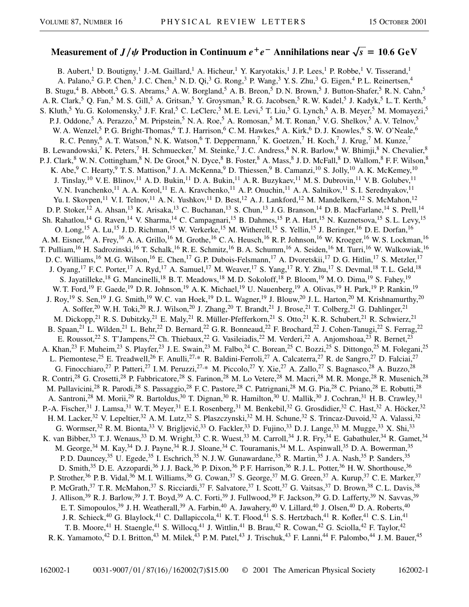## Measurement of  $J/\psi$  Production in Continuum  $e^+e^-$  Annihilations near  $\sqrt{s} = 10.6 \ {\rm GeV}$

B. Aubert,<sup>1</sup> D. Boutigny,<sup>1</sup> J.-M. Gaillard,<sup>1</sup> A. Hicheur,<sup>1</sup> Y. Karyotakis,<sup>1</sup> J.P. Lees,<sup>1</sup> P. Robbe,<sup>1</sup> V. Tisserand,<sup>1</sup> A. Palano,<sup>2</sup> G. P. Chen,<sup>3</sup> J. C. Chen,<sup>3</sup> N. D. Qi,<sup>3</sup> G. Rong,<sup>3</sup> P. Wang,<sup>3</sup> Y. S. Zhu,<sup>3</sup> G. Eigen,<sup>4</sup> P. L. Reinertsen,<sup>4</sup> B. Stugu,<sup>4</sup> B. Abbott,<sup>5</sup> G. S. Abrams,<sup>5</sup> A. W. Borgland,<sup>5</sup> A. B. Breon,<sup>5</sup> D. N. Brown,<sup>5</sup> J. Button-Shafer,<sup>5</sup> R. N. Cahn,<sup>5</sup> A. R. Clark,<sup>5</sup> Q. Fan,<sup>5</sup> M. S. Gill,<sup>5</sup> A. Gritsan,<sup>5</sup> Y. Groysman,<sup>5</sup> R. G. Jacobsen,<sup>5</sup> R. W. Kadel,<sup>5</sup> J. Kadyk,<sup>5</sup> L. T. Kerth,<sup>5</sup> S. Kluth,<sup>5</sup> Yu. G. Kolomensky,<sup>5</sup> J. F. Kral,<sup>5</sup> C. LeClerc,<sup>5</sup> M. E. Levi,<sup>5</sup> T. Liu,<sup>5</sup> G. Lynch,<sup>5</sup> A. B. Meyer,<sup>5</sup> M. Momayezi,<sup>5</sup> P. J. Oddone,<sup>5</sup> A. Perazzo,<sup>5</sup> M. Pripstein,<sup>5</sup> N. A. Roe,<sup>5</sup> A. Romosan,<sup>5</sup> M. T. Ronan,<sup>5</sup> V. G. Shelkov,<sup>5</sup> A. V. Telnov,<sup>5</sup> W. A. Wenzel,<sup>5</sup> P. G. Bright-Thomas,<sup>6</sup> T. J. Harrison,<sup>6</sup> C. M. Hawkes,<sup>6</sup> A. Kirk,<sup>6</sup> D. J. Knowles,<sup>6</sup> S. W. O'Neale,<sup>6</sup> R. C. Penny,  $6$  A. T. Watson,  $6$  N. K. Watson,  $6$  T. Deppermann,  $7$  K. Goetzen,  $7$  H. Koch,  $7$  J. Krug,  $7$  M. Kunze,  $7$ B. Lewandowski,<sup>7</sup> K. Peters,<sup>7</sup> H. Schmuecker,<sup>7</sup> M. Steinke,<sup>7</sup> J.C. Andress,<sup>8</sup> N. R. Barlow,<sup>8</sup> W. Bhimji,<sup>8</sup> N. Chevalier,<sup>8</sup> P. J. Clark,<sup>8</sup> W. N. Cottingham,<sup>8</sup> N. De Groot,<sup>8</sup> N. Dyce,<sup>8</sup> B. Foster,<sup>8</sup> A. Mass,<sup>8</sup> J. D. McFall,<sup>8</sup> D. Wallom,<sup>8</sup> F. F. Wilson,<sup>8</sup> K. Abe,<sup>9</sup> C. Hearty,<sup>9</sup> T. S. Mattison,<sup>9</sup> J. A. McKenna,<sup>9</sup> D. Thiessen,<sup>9</sup> B. Camanzi,<sup>10</sup> S. Jolly,<sup>10</sup> A. K. McKemey,<sup>10</sup> J. Tinslay,<sup>10</sup> V. E. Blinov,<sup>11</sup> A. D. Bukin,<sup>11</sup> D. A. Bukin,<sup>11</sup> A. R. Buzykaev,<sup>11</sup> M. S. Dubrovin,<sup>11</sup> V. B. Golubev,<sup>11</sup> V. N. Ivanchenko,<sup>11</sup> A. A. Korol,<sup>11</sup> E. A. Kravchenko,<sup>11</sup> A. P. Onuchin,<sup>11</sup> A. A. Salnikov,<sup>11</sup> S. I. Serednyakov,<sup>11</sup> Yu. I. Skovpen,<sup>11</sup> V. I. Telnov,<sup>11</sup> A. N. Yushkov,<sup>11</sup> D. Best,<sup>12</sup> A. J. Lankford,<sup>12</sup> M. Mandelkern,<sup>12</sup> S. McMahon,<sup>12</sup> D. P. Stoker,<sup>12</sup> A. Ahsan,<sup>13</sup> K. Arisaka,<sup>13</sup> C. Buchanan,<sup>13</sup> S. Chun,<sup>13</sup> J. G. Branson,<sup>14</sup> D. B. MacFarlane,<sup>14</sup> S. Prell,<sup>14</sup> Sh. Rahatlou,<sup>14</sup> G. Raven,<sup>14</sup> V. Sharma,<sup>14</sup> C. Campagnari,<sup>15</sup> B. Dahmes,<sup>15</sup> P.A. Hart,<sup>15</sup> N. Kuznetsova,<sup>15</sup> S.L. Levy,<sup>15</sup> O. Long,<sup>15</sup> A. Lu,<sup>15</sup> J. D. Richman,<sup>15</sup> W. Verkerke,<sup>15</sup> M. Witherell,<sup>15</sup> S. Yellin,<sup>15</sup> J. Beringer,<sup>16</sup> D. E. Dorfan,<sup>16</sup> A. M. Eisner,<sup>16</sup> A. Frey,<sup>16</sup> A. A. Grillo,<sup>16</sup> M. Grothe,<sup>16</sup> C. A. Heusch,<sup>16</sup> R. P. Johnson,<sup>16</sup> W. Kroeger,<sup>16</sup> W. S. Lockman,<sup>16</sup> T. Pulliam,<sup>16</sup> H. Sadrozinski,<sup>16</sup> T. Schalk,<sup>16</sup> R. E. Schmitz,<sup>16</sup> B. A. Schumm,<sup>16</sup> A. Seiden,<sup>16</sup> M. Turri,<sup>16</sup> W. Walkowiak,<sup>16</sup> D. C. Williams,<sup>16</sup> M. G. Wilson,<sup>16</sup> E. Chen,<sup>17</sup> G. P. Dubois-Felsmann,<sup>17</sup> A. Dvoretskii,<sup>17</sup> D. G. Hitlin,<sup>17</sup> S. Metzler,<sup>17</sup> J. Oyang,<sup>17</sup> F. C. Porter,<sup>17</sup> A. Ryd,<sup>17</sup> A. Samuel,<sup>17</sup> M. Weaver,<sup>17</sup> S. Yang,<sup>17</sup> R. Y. Zhu,<sup>17</sup> S. Devmal,<sup>18</sup> T. L. Geld,<sup>18</sup> S. Jayatilleke,<sup>18</sup> G. Mancinelli,<sup>18</sup> B. T. Meadows,<sup>18</sup> M. D. Sokoloff,<sup>18</sup> P. Bloom,<sup>19</sup> M. O. Dima,<sup>19</sup> S. Fahey,<sup>19</sup> W. T. Ford,<sup>19</sup> F. Gaede,<sup>19</sup> D. R. Johnson,<sup>19</sup> A. K. Michael,<sup>19</sup> U. Nauenberg,<sup>19</sup> A. Olivas,<sup>19</sup> H. Park,<sup>19</sup> P. Rankin,<sup>19</sup> J. Roy,<sup>19</sup> S. Sen,<sup>19</sup> J. G. Smith,<sup>19</sup> W. C. van Hoek,<sup>19</sup> D. L. Wagner,<sup>19</sup> J. Blouw,<sup>20</sup> J. L. Harton,<sup>20</sup> M. Krishnamurthy,<sup>20</sup> A. Soffer,<sup>20</sup> W. H. Toki,<sup>20</sup> R. J. Wilson,<sup>20</sup> J. Zhang,<sup>20</sup> T. Brandt,<sup>21</sup> J. Brose,<sup>21</sup> T. Colberg,<sup>21</sup> G. Dahlinger,<sup>21</sup> M. Dickopp,<sup>21</sup> R. S. Dubitzky,<sup>21</sup> E. Maly,<sup>21</sup> R. Müller-Pfefferkorn,<sup>21</sup> S. Otto,<sup>21</sup> K. R. Schubert,<sup>21</sup> R. Schwierz,<sup>21</sup> B. Spaan,<sup>21</sup> L. Wilden,<sup>21</sup> L. Behr,<sup>22</sup> D. Bernard,<sup>22</sup> G. R. Bonneaud,<sup>22</sup> F. Brochard,<sup>22</sup> J. Cohen-Tanugi,<sup>22</sup> S. Ferrag,<sup>22</sup> E. Roussot,<sup>22</sup> S. T'Jampens,<sup>22</sup> Ch. Thiebaux,<sup>22</sup> G. Vasileiadis,<sup>22</sup> M. Verderi,<sup>22</sup> A. Anjomshoaa,<sup>23</sup> R. Bernet,<sup>23</sup> A. Khan,<sup>23</sup> F. Muheim,<sup>23</sup> S. Playfer,<sup>23</sup> J. E. Swain,<sup>23</sup> M. Falbo,<sup>24</sup> C. Borean,<sup>25</sup> C. Bozzi,<sup>25</sup> S. Dittongo,<sup>25</sup> M. Folegani,<sup>25</sup> L. Piemontese,<sup>25</sup> E. Treadwell,<sup>26</sup> F. Anulli,<sup>27,\*</sup> R. Baldini-Ferroli,<sup>27</sup> A. Calcaterra,<sup>27</sup> R. de Sangro,<sup>27</sup> D. Falciai,<sup>27</sup> G. Finocchiaro,<sup>27</sup> P. Patteri,<sup>27</sup> I. M. Peruzzi,<sup>27,\*</sup> M. Piccolo,<sup>27</sup> Y. Xie,<sup>27</sup> A. Zallo,<sup>27</sup> S. Bagnasco,<sup>28</sup> A. Buzzo,<sup>28</sup> R. Contri,<sup>28</sup> G. Crosetti,<sup>28</sup> P. Fabbricatore,<sup>28</sup> S. Farinon,<sup>28</sup> M. Lo Vetere,<sup>28</sup> M. Macri,<sup>28</sup> M. R. Monge,<sup>28</sup> R. Musenich,<sup>28</sup> M. Pallavicini,<sup>28</sup> R. Parodi,<sup>28</sup> S. Passaggio,<sup>28</sup> F. C. Pastore,<sup>28</sup> C. Patrignani,<sup>28</sup> M. G. Pia,<sup>28</sup> C. Priano,<sup>28</sup> E. Robutti,<sup>28</sup> A. Santroni,<sup>28</sup> M. Morii,<sup>29</sup> R. Bartoldus,<sup>30</sup> T. Dignan,<sup>30</sup> R. Hamilton,<sup>30</sup> U. Mallik,<sup>30</sup> J. Cochran,<sup>31</sup> H. B. Crawley,<sup>31</sup> P.-A. Fischer,<sup>31</sup> J. Lamsa,<sup>31</sup> W. T. Meyer,<sup>31</sup> E. I. Rosenberg,<sup>31</sup> M. Benkebil,<sup>32</sup> G. Grosdidier,<sup>32</sup> C. Hast,<sup>32</sup> A. Höcker,<sup>32</sup> H. M. Lacker,<sup>32</sup> V. Lepeltier,<sup>32</sup> A. M. Lutz,<sup>32</sup> S. Plaszczynski,<sup>32</sup> M. H. Schune,<sup>32</sup> S. Trincaz-Duvoid,<sup>32</sup> A. Valassi,<sup>32</sup> G. Wormser,<sup>32</sup> R.M. Bionta,<sup>33</sup> V. Brigljević,<sup>33</sup> O. Fackler,<sup>33</sup> D. Fujino,<sup>33</sup> D.J. Lange,<sup>33</sup> M. Mugge,<sup>33</sup> X. Shi,<sup>33</sup> K. van Bibber,<sup>33</sup> T. J. Wenaus,<sup>33</sup> D. M. Wright,<sup>33</sup> C. R. Wuest,<sup>33</sup> M. Carroll,<sup>34</sup> J. R. Fry,<sup>34</sup> E. Gabathuler,<sup>34</sup> R. Gamet,<sup>34</sup> M. George,<sup>34</sup> M. Kay,<sup>34</sup> D. J. Payne,<sup>34</sup> R. J. Sloane,<sup>34</sup> C. Touramanis,<sup>34</sup> M. L. Aspinwall,<sup>35</sup> D. A. Bowerman,<sup>35</sup> P. D. Dauncey,<sup>35</sup> U. Egede,<sup>35</sup> I. Eschrich,<sup>35</sup> N. J. W. Gunawardane,<sup>35</sup> R. Martin,<sup>35</sup> J. A. Nash,<sup>35</sup> P. Sanders,<sup>35</sup> D. Smith,<sup>35</sup> D. E. Azzopardi,<sup>36</sup> J. J. Back,<sup>36</sup> P. Dixon,<sup>36</sup> P. F. Harrison,<sup>36</sup> R. J. L. Potter,<sup>36</sup> H. W. Shorthouse,<sup>36</sup> P. Strother,<sup>36</sup> P. B. Vidal,<sup>36</sup> M. I. Williams,<sup>36</sup> G. Cowan,<sup>37</sup> S. George,<sup>37</sup> M. G. Green,<sup>37</sup> A. Kurup,<sup>37</sup> C. E. Marker,<sup>37</sup> P. McGrath,<sup>37</sup> T. R. McMahon,<sup>37</sup> S. Ricciardi,<sup>37</sup> F. Salvatore,<sup>37</sup> I. Scott,<sup>37</sup> G. Vaitsas,<sup>37</sup> D. Brown,<sup>38</sup> C. L. Davis,<sup>38</sup> J. Allison,<sup>39</sup> R. J. Barlow,<sup>39</sup> J. T. Boyd,<sup>39</sup> A. C. Forti,<sup>39</sup> J. Fullwood,<sup>39</sup> F. Jackson,<sup>39</sup> G. D. Lafferty,<sup>39</sup> N. Savvas,<sup>39</sup> E. T. Simopoulos,<sup>39</sup> J. H. Weatherall,<sup>39</sup> A. Farbin,<sup>40</sup> A. Jawahery,<sup>40</sup> V. Lillard,<sup>40</sup> J. Olsen,<sup>40</sup> D. A. Roberts,<sup>40</sup> J. R. Schieck,<sup>40</sup> G. Blaylock,<sup>41</sup> C. Dallapiccola,<sup>41</sup> K. T. Flood,<sup>41</sup> S. S. Hertzbach,<sup>41</sup> R. Kofler,<sup>41</sup> C. S. Lin,<sup>41</sup> T. B. Moore,<sup>41</sup> H. Staengle,<sup>41</sup> S. Willocq,<sup>41</sup> J. Wittlin,<sup>41</sup> B. Brau,<sup>42</sup> R. Cowan,<sup>42</sup> G. Sciolla,<sup>42</sup> F. Taylor,<sup>42</sup> R. K. Yamamoto,<sup>42</sup> D. I. Britton,<sup>43</sup> M. Milek,<sup>43</sup> P. M. Patel,<sup>43</sup> J. Trischuk,<sup>43</sup> F. Lanni,<sup>44</sup> F. Palombo,<sup>44</sup> J. M. Bauer,<sup>45</sup>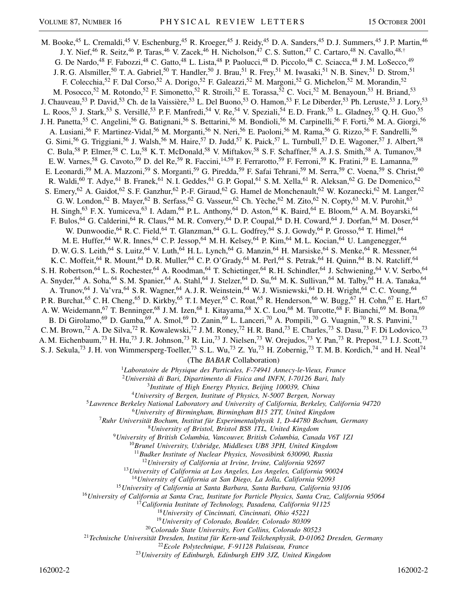M. Booke,<sup>45</sup> L. Cremaldi,<sup>45</sup> V. Eschenburg,<sup>45</sup> R. Kroeger,<sup>45</sup> J. Reidy,<sup>45</sup> D. A. Sanders,<sup>45</sup> D. J. Summers,<sup>45</sup> J. P. Martin,<sup>46</sup> J. Y. Nief,<sup>46</sup> R. Seitz,<sup>46</sup> P. Taras,<sup>46</sup> V. Zacek,<sup>46</sup> H. Nicholson,<sup>47</sup> C. S. Sutton,<sup>47</sup> C. Cartaro,<sup>48</sup> N. Cavallo,<sup>48,†</sup> G. De Nardo,<sup>48</sup> F. Fabozzi,<sup>48</sup> C. Gatto,<sup>48</sup> L. Lista,<sup>48</sup> P. Paolucci,<sup>48</sup> D. Piccolo,<sup>48</sup> C. Sciacca,<sup>48</sup> J. M. LoSecco,<sup>49</sup> J. R. G. Alsmiller,<sup>50</sup> T. A. Gabriel,<sup>50</sup> T. Handler,<sup>50</sup> J. Brau,<sup>51</sup> R. Frey,<sup>51</sup> M. Iwasaki,<sup>51</sup> N. B. Sinev,<sup>51</sup> D. Strom,<sup>51</sup> F. Colecchia,<sup>52</sup> F. Dal Corso,<sup>52</sup> A. Dorigo,<sup>52</sup> F. Galeazzi,<sup>52</sup> M. Margoni,<sup>52</sup> G. Michelon,<sup>52</sup> M. Morandin,<sup>52</sup> M. Posocco,<sup>52</sup> M. Rotondo,<sup>52</sup> F. Simonetto,<sup>52</sup> R. Stroili,<sup>52</sup> E. Torassa,<sup>52</sup> C. Voci,<sup>52</sup> M. Benayoun,<sup>53</sup> H. Briand,<sup>53</sup> J. Chauveau,<sup>53</sup> P. David,<sup>53</sup> Ch. de la Vaissière,<sup>53</sup> L. Del Buono,<sup>53</sup> O. Hamon,<sup>53</sup> F. Le Diberder,<sup>53</sup> Ph. Leruste,<sup>53</sup> J. Lory,<sup>53</sup> L. Roos,<sup>53</sup> J. Stark,<sup>53</sup> S. Versillé,<sup>53</sup> P.F. Manfredi,<sup>54</sup> V. Re,<sup>54</sup> V. Speziali,<sup>54</sup> E.D. Frank,<sup>55</sup> L. Gladney,<sup>55</sup> Q.H. Guo,<sup>55</sup> J. H. Panetta,<sup>55</sup> C. Angelini,<sup>56</sup> G. Batignani,<sup>56</sup> S. Bettarini,<sup>56</sup> M. Bondioli,<sup>56</sup> M. Carpinelli,<sup>56</sup> F. Forti,<sup>56</sup> M. A. Giorgi,<sup>56</sup> A. Lusiani,<sup>56</sup> F. Martinez-Vidal,<sup>56</sup> M. Morganti,<sup>56</sup> N. Neri,<sup>56</sup> E. Paoloni,<sup>56</sup> M. Rama,<sup>56</sup> G. Rizzo,<sup>56</sup> F. Sandrelli,<sup>56</sup> G. Simi,<sup>56</sup> G. Triggiani,<sup>56</sup> J. Walsh,<sup>56</sup> M. Haire,<sup>57</sup> D. Judd,<sup>57</sup> K. Paick,<sup>57</sup> L. Turnbull,<sup>57</sup> D. E. Wagoner,<sup>57</sup> J. Albert,<sup>58</sup> C. Bula,<sup>58</sup> P. Elmer,<sup>58</sup> C. Lu,<sup>58</sup> K. T. McDonald,<sup>58</sup> V. Miftakov,<sup>58</sup> S. F. Schaffner,<sup>58</sup> A. J. S. Smith,<sup>58</sup> A. Tumanov,<sup>58</sup> E. W. Varnes,<sup>58</sup> G. Cavoto,<sup>59</sup> D. del Re,<sup>59</sup> R. Faccini,<sup>14,59</sup> F. Ferrarotto,<sup>59</sup> F. Ferroni,<sup>59</sup> K. Fratini,<sup>59</sup> E. Lamanna,<sup>59</sup> E. Leonardi,<sup>59</sup> M. A. Mazzoni,<sup>59</sup> S. Morganti,<sup>59</sup> G. Piredda,<sup>59</sup> F. Safai Tehrani,<sup>59</sup> M. Serra,<sup>59</sup> C. Voena,<sup>59</sup> S. Christ,<sup>60</sup> R. Waldi,<sup>60</sup> T. Adye,<sup>61</sup> B. Franek,<sup>61</sup> N. I. Geddes,<sup>61</sup> G. P. Gopal,<sup>61</sup> S. M. Xella,<sup>61</sup> R. Aleksan,<sup>62</sup> G. De Domenico,<sup>62</sup> S. Emery,<sup>62</sup> A. Gaidot,<sup>62</sup> S. F. Ganzhur,<sup>62</sup> P.-F. Giraud,<sup>62</sup> G. Hamel de Monchenault,<sup>62</sup> W. Kozanecki,<sup>62</sup> M. Langer,<sup>62</sup> G. W. London,<sup>62</sup> B. Mayer,<sup>62</sup> B. Serfass,<sup>62</sup> G. Vasseur,<sup>62</sup> Ch. Yèche,<sup>62</sup> M. Zito,<sup>62</sup> N. Copty,<sup>63</sup> M. V. Purohit,<sup>63</sup> H. Singh,<sup>63</sup> F. X. Yumiceva,<sup>63</sup> I. Adam,<sup>64</sup> P. L. Anthony,<sup>64</sup> D. Aston,<sup>64</sup> K. Baird,<sup>64</sup> E. Bloom,<sup>64</sup> A. M. Boyarski,<sup>64</sup> F. Bulos,  $^{64}$  G. Calderini,  $^{64}$  R. Claus,  $^{64}$  M. R. Convery,  $^{64}$  D. P. Coupal,  $^{64}$  D. H. Coward,  $^{64}$  J. Dorfan,  $^{64}$  M. Doser,  $^{64}$ W. Dunwoodie, <sup>64</sup> R. C. Field, <sup>64</sup> T. Glanzman, <sup>64</sup> G. L. Godfrey, <sup>64</sup> S. J. Gowdy, <sup>64</sup> P. Grosso, <sup>64</sup> T. Himel, <sup>64</sup> M. E. Huffer, <sup>64</sup> W. R. Innes, <sup>64</sup> C. P. Jessop, <sup>64</sup> M. H. Kelsey, <sup>64</sup> P. Kim, <sup>64</sup> M. L. Kocian, <sup>64</sup> U. Langenegger, <sup>64</sup> D. W. G. S. Leith,<sup>64</sup> S. Luitz,<sup>64</sup> V. Luth,<sup>64</sup> H. L. Lynch,<sup>64</sup> G. Manzin,<sup>64</sup> H. Marsiske,<sup>64</sup> S. Menke,<sup>64</sup> R. Messner,<sup>64</sup> K. C. Moffeit, <sup>64</sup> R. Mount, <sup>64</sup> D. R. Muller, <sup>64</sup> C. P. O'Grady, <sup>64</sup> M. Perl, <sup>64</sup> S. Petrak, <sup>64</sup> H. Quinn, <sup>64</sup> B. N. Ratcliff, <sup>64</sup> S. H. Robertson, <sup>64</sup> L. S. Rochester, <sup>64</sup> A. Roodman, <sup>64</sup> T. Schietinger, <sup>64</sup> R. H. Schindler, <sup>64</sup> J. Schwiening, <sup>64</sup> V. V. Serbo, <sup>64</sup> A. Snyder,<sup>64</sup> A. Soha,<sup>64</sup> S.M. Spanier,<sup>64</sup> A. Stahl,<sup>64</sup> J. Stelzer,<sup>64</sup> D. Su,<sup>64</sup> M.K. Sullivan,<sup>64</sup> M. Talby,<sup>64</sup> H.A. Tanaka,<sup>64</sup> A. Trunov,<sup>64</sup> J. Va'vra,<sup>64</sup> S. R. Wagner,<sup>64</sup> A. J. R. Weinstein,<sup>64</sup> W. J. Wisniewski,<sup>64</sup> D. H. Wright,<sup>64</sup> C. C. Young,<sup>64</sup> P. R. Burchat,<sup>65</sup> C. H. Cheng,<sup>65</sup> D. Kirkby,<sup>65</sup> T. I. Meyer,<sup>65</sup> C. Roat,<sup>65</sup> R. Henderson,<sup>66</sup> W. Bugg,<sup>67</sup> H. Cohn,<sup>67</sup> E. Hart,<sup>67</sup> A. W. Weidemann,<sup>67</sup> T. Benninger,<sup>68</sup> J. M. Izen,<sup>68</sup> I. Kitayama,<sup>68</sup> X. C. Lou,<sup>68</sup> M. Turcotte,<sup>68</sup> F. Bianchi,<sup>69</sup> M. Bona,<sup>69</sup> B. Di Girolamo,<sup>69</sup> D. Gamba,<sup>69</sup> A. Smol,<sup>69</sup> D. Zanin,<sup>69</sup> L. Lanceri,<sup>70</sup> A. Pompili,<sup>70</sup> G. Vuagnin,<sup>70</sup> R. S. Panvini,<sup>71</sup> C. M. Brown,<sup>72</sup> A. De Silva,<sup>72</sup> R. Kowalewski,<sup>72</sup> J. M. Roney,<sup>72</sup> H. R. Band,<sup>73</sup> E. Charles,<sup>73</sup> S. Dasu,<sup>73</sup> F. Di Lodovico,<sup>73</sup> A. M. Eichenbaum,<sup>73</sup> H. Hu,<sup>73</sup> J. R. Johnson,<sup>73</sup> R. Liu,<sup>73</sup> J. Nielsen,<sup>73</sup> W. Orejudos,<sup>73</sup> Y. Pan,<sup>73</sup> R. Prepost,<sup>73</sup> I. J. Scott,<sup>73</sup> S. J. Sekula,<sup>73</sup> J. H. von Wimmersperg-Toeller,<sup>73</sup> S. L. Wu,<sup>73</sup> Z. Yu,<sup>73</sup> H. Zobernig,<sup>73</sup> T. M. B. Kordich,<sup>74</sup> and H. Neal<sup>74</sup> (The *BABAR* Collaboration)

<sup>1</sup>*Laboratoire de Physique des Particules, F-74941 Annecy-le-Vieux, France*

<sup>2</sup>*Università di Bari, Dipartimento di Fisica and INFN, I-70126 Bari, Italy*

<sup>3</sup>*Institute of High Energy Physics, Beijing 100039, China*

<sup>4</sup>*University of Bergen, Institute of Physics, N-5007 Bergen, Norway*

<sup>5</sup>*Lawrence Berkeley National Laboratory and University of California, Berkeley, California 94720*

<sup>6</sup>*University of Birmingham, Birmingham B15 2TT, United Kingdom*

<sup>7</sup>*Ruhr Universität Bochum, Institut für Experimentalphysik 1, D-44780 Bochum, Germany*

<sup>8</sup>*University of Bristol, Bristol BS8 1TL, United Kingdom*

<sup>9</sup>*University of British Columbia, Vancouver, British Columbia, Canada V6T 1Z1*

<sup>10</sup>*Brunel University, Uxbridge, Middlesex UB8 3PH, United Kingdom*

<sup>11</sup>*Budker Institute of Nuclear Physics, Novosibirsk 630090, Russia*

<sup>12</sup>*University of California at Irvine, Irvine, California 92697*

<sup>13</sup>*University of California at Los Angeles, Los Angeles, California 90024*

<sup>14</sup>*University of California at San Diego, La Jolla, California 92093*

<sup>15</sup>*University of California at Santa Barbara, Santa Barbara, California 93106*

<sup>16</sup>*University of California at Santa Cruz, Institute for Particle Physics, Santa Cruz, California 95064*

<sup>17</sup>*California Institute of Technology, Pasadena, California 91125*

<sup>18</sup>*University of Cincinnati, Cincinnati, Ohio 45221*

<sup>19</sup>*University of Colorado, Boulder, Colorado 80309*

<sup>20</sup>*Colorado State University, Fort Collins, Colorado 80523*

<sup>21</sup>*Technische Universität Dresden, Institut für Kern-und Teilchenphysik, D-01062 Dresden, Germany*

<sup>22</sup>*Ecole Polytechnique, F-91128 Palaiseau, France*

<sup>23</sup>*University of Edinburgh, Edinburgh EH9 3JZ, United Kingdom*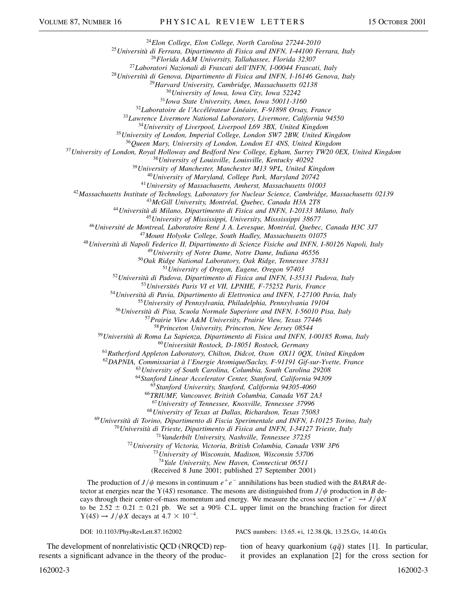*Elon College, Elon College, North Carolina 27244-2010*

*Università di Ferrara, Dipartimento di Fisica and INFN, I-44100 Ferrara, Italy*

*Florida A&M University, Tallahassee, Florida 32307*

*Laboratori Nazionali di Frascati dell'INFN, I-00044 Frascati, Italy*

*Università di Genova, Dipartimento di Fisica and INFN, I-16146 Genova, Italy*

*Harvard University, Cambridge, Massachusetts 02138*

*University of Iowa, Iowa City, Iowa 52242*

*Iowa State University, Ames, Iowa 50011-3160*

*Laboratoire de l'Accélérateur Linéaire, F-91898 Orsay, France*

*Lawrence Livermore National Laboratory, Livermore, California 94550*

*University of Liverpool, Liverpool L69 3BX, United Kingdom*

*University of London, Imperial College, London SW7 2BW, United Kingdom*

*Queen Mary, University of London, London E1 4NS, United Kingdom*

*University of London, Royal Holloway and Bedford New College, Egham, Surrey TW20 0EX, United Kingdom*

*University of Louisville, Louisville, Kentucky 40292*

*University of Manchester, Manchester M13 9PL, United Kingdom*

*University of Maryland, College Park, Maryland 20742*

*University of Massachusetts, Amherst, Massachusetts 01003*

*Massachusetts Institute of Technology, Laboratory for Nuclear Science, Cambridge, Massachusetts 02139*

*McGill University, Montréal, Quebec, Canada H3A 2T8*

*Università di Milano, Dipartimento di Fisica and INFN, I-20133 Milano, Italy*

*University of Mississippi, University, Misssissippi 38677*

*Université de Montreal, Laboratoire René J. A. Levesque, Montréal, Quebec, Canada H3C 3J7*

*Mount Holyoke College, South Hadley, Massachusetts 01075*

*Università di Napoli Federico II, Dipartimento di Scienze Fisiche and INFN, I-80126 Napoli, Italy*

*University of Notre Dame, Notre Dame, Indiana 46556*

*Oak Ridge National Laboratory, Oak Ridge, Tennessee 37831*

*University of Oregon, Eugene, Oregon 97403*

*Università di Padova, Dipartimento di Fisica and INFN, I-35131 Padova, Italy*

*Universités Paris VI et VII, LPNHE, F-75252 Paris, France*

*Università di Pavia, Dipartimento di Elettronica and INFN, I-27100 Pavia, Italy*

*University of Pennsylvania, Philadelphia, Pennsylvania 19104*

*Università di Pisa, Scuola Normale Superiore and INFN, I-56010 Pisa, Italy*

*Prairie View A&M University, Prairie View, Texas 77446*

*Princeton University, Princeton, New Jersey 08544*

*Università di Roma La Sapienza, Dipartimento di Fisica and INFN, I-00185 Roma, Italy*

*Universität Rostock, D-18051 Rostock, Germany*

*Rutherford Appleton Laboratory, Chilton, Didcot, Oxon OX11 0QX, United Kingdom*

*DAPNIA, Commissariat à l'Energie Atomique/Saclay, F-91191 Gif-sur-Yvette, France*

*University of South Carolina, Columbia, South Carolina 29208*

*Stanford Linear Accelerator Center, Stanford, California 94309*

*Stanford University, Stanford, California 94305-4060*

*TRIUMF, Vancouver, British Columbia, Canada V6T 2A3*

*University of Tennessee, Knoxville, Tennessee 37996*

*University of Texas at Dallas, Richardson, Texas 75083*

*Università di Torino, Dipartimento di Fiscia Sperimentale and INFN, I-10125 Torino, Italy*

*Università di Trieste, Dipartimento di Fisica and INFN, I-34127 Trieste, Italy*

*Vanderbilt University, Nashville, Tennessee 37235*

*University of Victoria, Victoria, British Columbia, Canada V8W 3P6*

*University of Wisconsin, Madison, Wisconsin 53706*

*Yale University, New Haven, Connecticut 06511*

(Received 8 June 2001; published 27 September 2001)

The production of  $J/\psi$  mesons in continuum  $e^+e^-$  annihilations has been studied with the *BABAR* detector at energies near the  $Y(4S)$  resonance. The mesons are distinguished from  $J/\psi$  production in *B* decays through their center-of-mass momentum and energy. We measure the cross section  $e^+e^- \rightarrow J/\psi X$ to be 2.52  $\pm$  0.21  $\pm$  0.21 pb. We set a 90% C.L. upper limit on the branching fraction for direct  $Y(4S) \rightarrow J/\psi X$  decays at  $4.7 \times 10^{-4}$ .

DOI: 10.1103/PhysRevLett.87.162002 PACS numbers: 13.65.+i, 12.38.Qk, 13.25.Gv, 14.40.Gx

The development of nonrelativistic QCD (NRQCD) represents a significant advance in the theory of the produc-

tion of heavy quarkonium  $(q\bar{q})$  states [1]. In particular, it provides an explanation [2] for the cross section for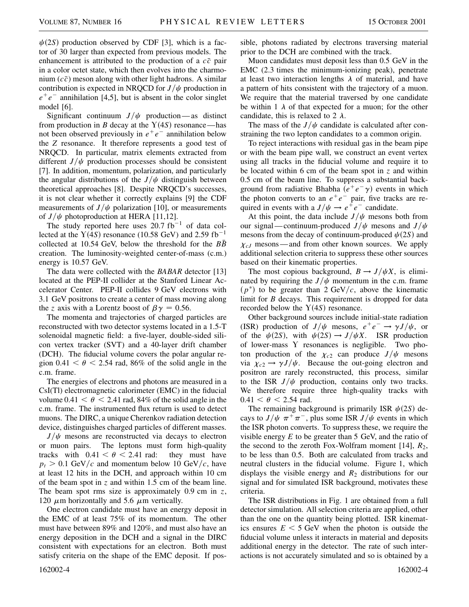$\psi(2S)$  production observed by CDF [3], which is a factor of 30 larger than expected from previous models. The enhancement is attributed to the production of a  $c\bar{c}$  pair in a color octet state, which then evolves into the charmonium  $(c\bar{c})$  meson along with other light hadrons. A similar contribution is expected in NRQCD for  $J/\psi$  production in  $e^+e^-$  annihilation [4,5], but is absent in the color singlet model [6].

Significant continuum  $J/\psi$  production—as distinct from production in *B* decay at the  $Y(4S)$  resonance—has not been observed previously in  $e^+e^-$  annihilation below the *Z* resonance. It therefore represents a good test of NRQCD. In particular, matrix elements extracted from different  $J/\psi$  production processes should be consistent [7]. In addition, momentum, polarization, and particularly the angular distributions of the  $J/\psi$  distinguish between theoretical approaches [8]. Despite NRQCD's successes, it is not clear whether it correctly explains [9] the CDF measurements of  $J/\psi$  polarization [10], or measurements of  $J/\psi$  photoproduction at HERA [11,12].

The study reported here uses  $20.7$  fb<sup>-1</sup> of data collected at the  $Y(4S)$  resonance (10.58 GeV) and 2.59 fb<sup>-1</sup> collected at 10.54 GeV, below the threshold for the  $B\bar{B}$ creation. The luminosity-weighted center-of-mass (c.m.) energy is 10.57 GeV.

The data were collected with the *BABAR* detector [13] located at the PEP-II collider at the Stanford Linear Accelerator Center. PEP-II collides 9 GeV electrons with 3.1 GeV positrons to create a center of mass moving along the *z* axis with a Lorentz boost of  $\beta \gamma = 0.56$ .

The momenta and trajectories of charged particles are reconstructed with two detector systems located in a 1.5-T solenoidal magnetic field: a five-layer, double-sided silicon vertex tracker (SVT) and a 40-layer drift chamber (DCH). The fiducial volume covers the polar angular region  $0.41 < \theta < 2.54$  rad, 86% of the solid angle in the c.m. frame.

The energies of electrons and photons are measured in a CsI(Tl) electromagnetic calorimeter (EMC) in the fiducial volume  $0.41 < \theta < 2.41$  rad, 84% of the solid angle in the c.m. frame. The instrumented flux return is used to detect muons. The DIRC, a unique Cherenkov radiation detection device, distinguishes charged particles of different masses.

 $J/\psi$  mesons are reconstructed via decays to electron or muon pairs. The leptons must form high-quality tracks with  $0.41 < \theta < 2.41$  rad: they must have  $p_t > 0.1$  GeV/c and momentum below 10 GeV/c, have at least 12 hits in the DCH, and approach within 10 cm of the beam spot in *z* and within 1.5 cm of the beam line. The beam spot rms size is approximately 0.9 cm in *z*, 120  $\mu$ m horizontally and 5.6  $\mu$ m vertically.

One electron candidate must have an energy deposit in the EMC of at least 75% of its momentum. The other must have between 89% and 120%, and must also have an energy deposition in the DCH and a signal in the DIRC consistent with expectations for an electron. Both must satisfy criteria on the shape of the EMC deposit. If pos-

sible, photons radiated by electrons traversing material prior to the DCH are combined with the track.

Muon candidates must deposit less than 0.5 GeV in the EMC (2.3 times the minimum-ionizing peak), penetrate at least two interaction lengths  $\lambda$  of material, and have a pattern of hits consistent with the trajectory of a muon. We require that the material traversed by one candidate be within 1  $\lambda$  of that expected for a muon; for the other candidate, this is relaxed to 2  $\lambda$ .

The mass of the  $J/\psi$  candidate is calculated after constraining the two lepton candidates to a common origin.

To reject interactions with residual gas in the beam pipe or with the beam pipe wall, we construct an event vertex using all tracks in the fiducial volume and require it to be located within 6 cm of the beam spot in *z* and within 0.5 cm of the beam line. To suppress a substantial background from radiative Bhabha  $\overline{(e^+e^- \gamma)}$  events in which the photon converts to an  $e^+e^-$  pair, five tracks are required in events with a  $J/\psi \rightarrow e^+e^-$  candidate.

At this point, the data include  $J/\psi$  mesons both from our signal—continuum-produced  $J/\psi$  mesons and  $J/\psi$ mesons from the decay of continuum-produced  $\psi(2S)$  and  $\chi_{cJ}$  mesons — and from other known sources. We apply additional selection criteria to suppress these other sources based on their kinematic properties.

The most copious background,  $B \rightarrow J/\psi X$ , is eliminated by requiring the  $J/\psi$  momentum in the c.m. frame  $(p^*)$  to be greater than 2 GeV/c, above the kinematic limit for *B* decays. This requirement is dropped for data recorded below the  $Y(4S)$  resonance.

Other background sources include initial-state radiation (ISR) production of  $J/\psi$  mesons,  $e^+e^- \rightarrow \gamma J/\psi$ , or of the  $\psi(2S)$ , with  $\psi(2S) \rightarrow J/\psi X$ . ISR production of lower-mass Y resonances is negligible. Two photon production of the  $\chi_{c2}$  can produce  $J/\psi$  mesons via  $\chi_{c2} \rightarrow \gamma J/\psi$ . Because the out-going electron and positron are rarely reconstructed, this process, similar to the ISR  $J/\psi$  production, contains only two tracks. We therefore require three high-quality tracks with  $0.41 < \theta < 2.54$  rad.

The remaining background is primarily ISR  $\psi(2S)$  decays to  $J/\psi \pi^+\pi^-$ , plus some ISR  $J/\psi$  events in which the ISR photon converts. To suppress these, we require the visible energy *E* to be greater than 5 GeV, and the ratio of the second to the zeroth Fox-Wolfram moment [14],  $R_2$ , to be less than 0.5. Both are calculated from tracks and neutral clusters in the fiducial volume. Figure 1, which displays the visible energy and  $R_2$  distributions for our signal and for simulated ISR background, motivates these criteria.

The ISR distributions in Fig. 1 are obtained from a full detector simulation. All selection criteria are applied, other than the one on the quantity being plotted. ISR kinematics ensures  $E \le 5$  GeV when the photon is outside the fiducial volume unless it interacts in material and deposits additional energy in the detector. The rate of such interactions is not accurately simulated and so is obtained by a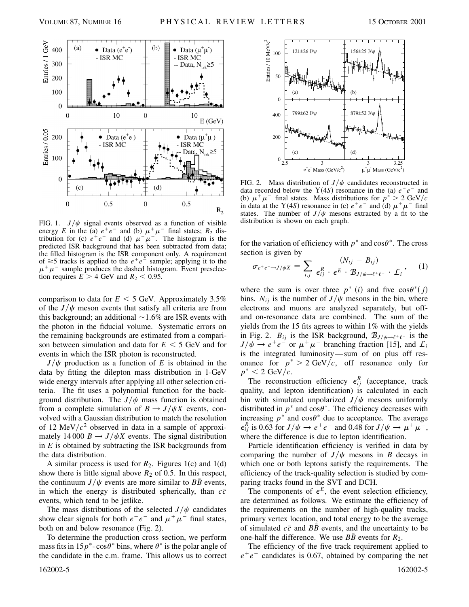

FIG. 1.  $J/\psi$  signal events observed as a function of visible energy *E* in the (a)  $e^+e^-$  and (b)  $\mu^+\mu^-$  final states;  $R_2$  distribution for (c)  $e^+e^-$  and (d)  $\mu^+\mu^-$ . The histogram is the predicted ISR background that has been subtracted from data; the filled histogram is the ISR component only. A requirement of  $\geq$ 5 tracks is applied to the  $e^+e^-$  sample; applying it to the  $\mu^+\mu^-$  sample produces the dashed histogram. Event preselection requires  $E > 4$  GeV and  $R_2 < 0.95$ .

comparison to data for  $E < 5$  GeV. Approximately 3.5% of the  $J/\psi$  meson events that satisfy all criteria are from this background; an additional  $\sim$ 1.6% are ISR events with the photon in the fiducial volume. Systematic errors on the remaining backgrounds are estimated from a comparison between simulation and data for  $E < 5$  GeV and for events in which the ISR photon is reconstructed.

 $J/\psi$  production as a function of *E* is obtained in the data by fitting the dilepton mass distribution in 1-GeV wide energy intervals after applying all other selection criteria. The fit uses a polynomial function for the background distribution. The  $J/\psi$  mass function is obtained from a complete simulation of  $B \to J/\psi X$  events, convolved with a Gaussian distribution to match the resolution of 12 MeV $/c^2$  observed in data in a sample of approximately 14 000  $B \rightarrow J/\psi X$  events. The signal distribution in *E* is obtained by subtracting the ISR backgrounds from the data distribution.

A similar process is used for  $R_2$ . Figures 1(c) and 1(d) show there is little signal above  $R_2$  of 0.5. In this respect, the continuum  $J/\psi$  events are more similar to *BB* events, in which the energy is distributed spherically, than  $c\bar{c}$ events, which tend to be jetlike.

The mass distributions of the selected  $J/\psi$  candidates show clear signals for both  $e^+e^-$  and  $\mu^+\mu^-$  final states, both on and below resonance (Fig. 2).

To determine the production cross section, we perform mass fits in  $15p^*$ - $\cos\theta^*$  bins, where  $\theta^*$  is the polar angle of the candidate in the c.m. frame. This allows us to correct



FIG. 2. Mass distribution of  $J/\psi$  candidates reconstructed in data recorded below the  $Y(4S)$  resonance in the (a)  $e^+e^-$  and (b)  $\mu^+ \mu^-$  final states. Mass distributions for  $p^* > 2 \text{ GeV}/c$ in data at the Y(4S) resonance in (c)  $e^+e^-$  and (d)  $\mu^+\mu^-$  final states. The number of  $J/\psi$  mesons extracted by a fit to the distribution is shown on each graph.

for the variation of efficiency with  $p^*$  and  $\cos\theta^*$ . The cross section is given by

$$
\sigma_{e^+e^-\to J/\psi X} = \sum_{i,j} \frac{(N_{ij} - B_{ij})}{\epsilon_{ij}^R \cdot \epsilon^E \cdot B_{J/\psi \to \ell^+ \ell^-} \cdot \mathcal{L}_i}, \quad (1)
$$

where the sum is over three  $p^*(i)$  and five  $\cos\theta^*(j)$ bins.  $N_{ij}$  is the number of  $J/\psi$  mesons in the bin, where electrons and muons are analyzed separately, but offand on-resonance data are combined. The sum of the yields from the 15 fits agrees to within 1% with the yields in Fig. 2.  $B_{ij}$  is the ISR background,  $B_{J/\psi \to \ell^+ \ell^-}$  is the  $J/\psi \rightarrow e^+e^-$  or  $\mu^+\mu^-$  branching fraction [15], and  $\mathcal{L}_i$ is the integrated luminosity—sum of on plus off resonance for  $p^* > 2 \text{ GeV}/c$ , off resonance only for  $p^*$  < 2 GeV/c.

The reconstruction efficiency  $\epsilon_{ij}^R$  (acceptance, track quality, and lepton identification) is calculated in each bin with simulated unpolarized  $J/\psi$  mesons uniformly distributed in  $p^*$  and  $\cos\theta^*$ . The efficiency decreases with increasing  $p^*$  and  $\cos\theta^*$  due to acceptance. The average  $\epsilon_{ij}^R$  is 0.63 for  $J/\psi \rightarrow e^+e^-$  and 0.48 for  $J/\psi \rightarrow \mu^+\mu^-$ , where the difference is due to lepton identification.

Particle identification efficiency is verified in data by comparing the number of  $J/\psi$  mesons in *B* decays in which one or both leptons satisfy the requirements. The efficiency of the track-quality selection is studied by comparing tracks found in the SVT and DCH.

The components of  $\epsilon^E$ , the event selection efficiency, are determined as follows. We estimate the efficiency of the requirements on the number of high-quality tracks, primary vertex location, and total energy to be the average of simulated  $c\bar{c}$  and  $B\bar{B}$  events, and the uncertainty to be one-half the difference. We use  $B\bar{B}$  events for  $R_2$ .

The efficiency of the five track requirement applied to  $e^+e^-$  candidates is 0.67, obtained by comparing the net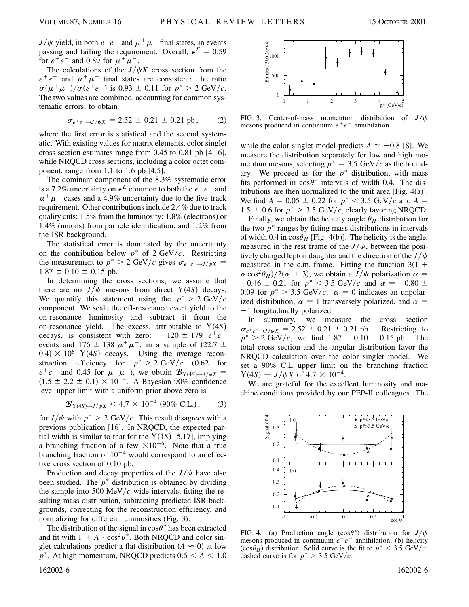$J/\psi$  yield, in both  $e^+e^-$  and  $\mu^+\mu^-$  final states, in events passing and failing the requirement. Overall,  $\epsilon^E = 0.59$ for  $e^+e^-$  and 0.89 for  $\mu^+\mu^-$ .

The calculations of the  $J/\psi X$  cross section from the  $e^+e^-$  and  $\mu^+\mu^-$  final states are consistent: the ratio  $\sigma(\mu^+\mu^-)/\sigma(e^+e^-)$  is 0.93  $\pm$  0.11 for  $p^* > 2$  GeV/c. The two values are combined, accounting for common systematic errors, to obtain

$$
\sigma_{e^+e^- \to J/\psi X} = 2.52 \pm 0.21 \pm 0.21 \text{ pb}, \qquad (2)
$$

where the first error is statistical and the second systematic. With existing values for matrix elements, color singlet cross section estimates range from  $0.45$  to  $0.81$  pb  $[4-6]$ , while NRQCD cross sections, including a color octet component, range from 1.1 to 1.6 pb [4,5].

The dominant component of the 8.3% systematic error is a 7.2% uncertainty on  $\epsilon^E$  common to both the  $e^+e^-$  and  $\mu^+\mu^-$  cases and a 4.9% uncertainty due to the five track requirement. Other contributions include 2.4% due to track quality cuts; 1.5% from the luminosity; 1.8% (electrons) or 1.4% (muons) from particle identification; and 1.2% from the ISR background.

The statistical error is dominated by the uncertainty on the contribution below  $p^*$  of 2 GeV/c. Restricting the measurement to  $p^* > 2$  GeV/c gives  $\sigma_{e^+e^- \to J/\psi X}$  $1.87 \pm 0.10 \pm 0.15$  pb.

In determining the cross sections, we assume that there are no  $J/\psi$  mesons from direct  $Y(4S)$  decays. We quantify this statement using the  $p^* > 2 \text{ GeV}/c$ component. We scale the off-resonance event yield to the on-resonance luminosity and subtract it from the on-resonance yield. The excess, attributable to  $Y(4S)$ decays, is consistent with zero:  $-120 \pm 179$   $e^+e^$ events and 176  $\pm$  138  $\mu^+\mu^-$ , in a sample of (22.7  $\pm$  $0.4) \times 10^6$  Y(4S) decays. Using the average reconstruction efficiency for  $p^* > 2 \text{ GeV}/c$  (0.62 for  $e^+e^-$  and 0.45 for  $\mu^+\mu^-$ ), we obtain  $\mathcal{B}_{Y(4S)\to J/\psi X}$  $(1.5 \pm 2.2 \pm 0.1) \times 10^{-4}$ . A Bayesian 90% confidence level upper limit with a uniform prior above zero is

$$
\mathcal{B}_{Y(4S)\to J/\psi X} < 4.7 \times 10^{-4} \ (90\% \ \text{C.L.}), \tag{3}
$$

for  $J/\psi$  with  $p^* > 2$  GeV/c. This result disagrees with a previous publication [16]. In NRQCD, the expected partial width is similar to that for the  $Y(1S)$  [5,17], implying a branching fraction of a few  $\times 10^{-6}$ . Note that a true branching fraction of  $10^{-4}$  would correspond to an effective cross section of 0.10 pb.

Production and decay properties of the  $J/\psi$  have also been studied. The  $p^*$  distribution is obtained by dividing the sample into 500 MeV/ $c$  wide intervals, fitting the resulting mass distribution, subtracting predicted ISR backgrounds, correcting for the reconstruction efficiency, and normalizing for different luminosities (Fig. 3).

The distribution of the signal in  $\cos\theta^*$  has been extracted and fit with  $1 + A \cdot \cos^2 \theta^*$ . Both NRQCD and color singlet calculations predict a flat distribution  $(A \approx 0)$  at low  $p^*$ . At high momentum, NRQCD predicts  $0.6 < A < 1.0$ 



FIG. 3. Center-of-mass momentum distribution of  $J/\psi$ mesons produced in continuum  $e^+e^-$  annihilation.

while the color singlet model predicts  $A \approx -0.8$  [8]. We measure the distribution separately for low and high momentum mesons, selecting  $p^* = 3.5 \text{ GeV}/c$  as the boundary. We proceed as for the  $p^*$  distribution, with mass fits performed in  $\cos\theta^*$  intervals of width 0.4. The distributions are then normalized to the unit area [Fig. 4(a)]. We find  $A = 0.05 \pm 0.22$  for  $p^* < 3.5$  GeV/c and  $A =$  $1.5 \pm 0.6$  for  $p^* > 3.5$  GeV/c, clearly favoring NRQCD.

Finally, we obtain the helicity angle  $\theta_H$  distribution for the two  $p^*$  ranges by fitting mass distributions in intervals of width 0.4 in  $\cos\theta_H$  [Fig. 4(b)]. The helicity is the angle, measured in the rest frame of the  $J/\psi$ , between the positively charged lepton daughter and the direction of the  $J/\psi$ measured in the c.m. frame. Fitting the function  $3(1 +$  $\alpha \cos^2{\theta_H}/2(\alpha + 3)$ , we obtain a *J*/ $\psi$  polarization  $\alpha =$  $-0.46 \pm 0.21$  for  $p^* < 3.5$  GeV/c and  $\alpha = -0.80 \pm 0.80$ 0.09 for  $p^* > 3.5$  GeV/c.  $\alpha = 0$  indicates an unpolarized distribution,  $\alpha = 1$  transversely polarized, and  $\alpha =$  $-1$  longitudinally polarized.

In summary, we measure the cross section  $\sigma_{e^+e^- \to J/\psi X} = 2.52 \pm 0.21 \pm 0.21$  pb. Restricting to  $p^* > 2$  GeV/c, we find  $1.87 \pm 0.10 \pm 0.15$  pb. The total cross section and the angular distribution favor the NRQCD calculation over the color singlet model. We set a 90% C.L. upper limit on the branching fraction  $Y(4S) \rightarrow J/\psi X$  of  $4.7 \times 10^{-4}$ .

We are grateful for the excellent luminosity and machine conditions provided by our PEP-II colleagues. The



FIG. 4. (a) Production angle ( $\cos\theta^*$ ) distribution for  $J/\psi$ mesons produced in continuum  $e^+e^-$  annihilation; (b) helicity  $(\cos \theta_H)$  distribution. Solid curve is the fit to  $p^* < 3.5$  GeV/c; dashed curve is for  $p^* > 3.5$  GeV/c.